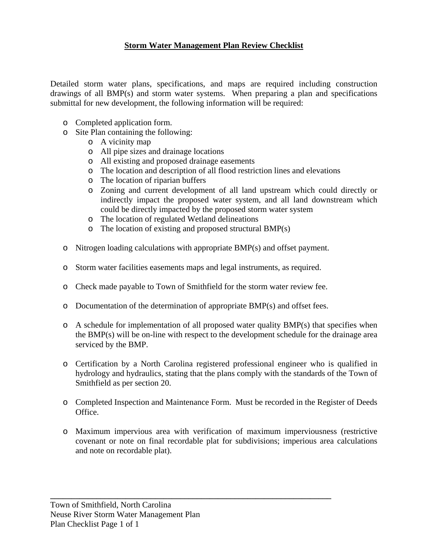# **Storm Water Management Plan Review Checklist**

Detailed storm water plans, specifications, and maps are required including construction drawings of all BMP(s) and storm water systems. When preparing a plan and specifications submittal for new development, the following information will be required:

- o Completed application form.
- o Site Plan containing the following:
	- o A vicinity map
	- o All pipe sizes and drainage locations
	- o All existing and proposed drainage easements
	- o The location and description of all flood restriction lines and elevations
	- o The location of riparian buffers
	- o Zoning and current development of all land upstream which could directly or indirectly impact the proposed water system, and all land downstream which could be directly impacted by the proposed storm water system
	- o The location of regulated Wetland delineations
	- o The location of existing and proposed structural BMP(s)
- o Nitrogen loading calculations with appropriate BMP(s) and offset payment.
- o Storm water facilities easements maps and legal instruments, as required.
- o Check made payable to Town of Smithfield for the storm water review fee.
- o Documentation of the determination of appropriate BMP(s) and offset fees.
- $\circ$  A schedule for implementation of all proposed water quality BMP(s) that specifies when the BMP(s) will be on-line with respect to the development schedule for the drainage area serviced by the BMP.
- o Certification by a North Carolina registered professional engineer who is qualified in hydrology and hydraulics, stating that the plans comply with the standards of the Town of Smithfield as per section 20.
- o Completed Inspection and Maintenance Form. Must be recorded in the Register of Deeds Office.
- o Maximum impervious area with verification of maximum imperviousness (restrictive covenant or note on final recordable plat for subdivisions; imperious area calculations and note on recordable plat).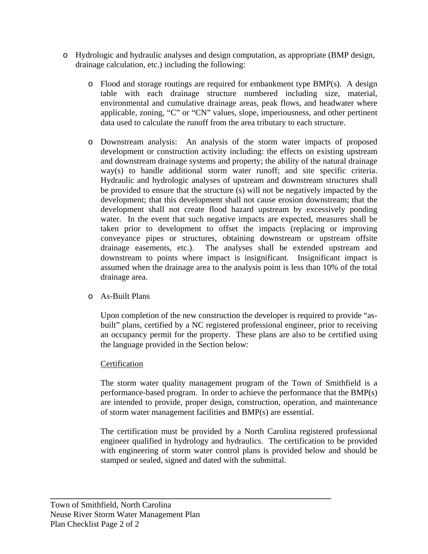- o Hydrologic and hydraulic analyses and design computation, as appropriate (BMP design, drainage calculation, etc.) including the following:
	- $\circ$  Flood and storage routings are required for embankment type BMP(s). A design table with each drainage structure numbered including size, material, environmental and cumulative drainage areas, peak flows, and headwater where applicable, zoning, "C" or "CN" values, slope, imperiousness, and other pertinent data used to calculate the runoff from the area tributary to each structure.
	- o Downstream analysis: An analysis of the storm water impacts of proposed development or construction activity including: the effects on existing upstream and downstream drainage systems and property; the ability of the natural drainage way(s) to handle additional storm water runoff; and site specific criteria. Hydraulic and hydrologic analyses of upstream and downstream structures shall be provided to ensure that the structure (s) will not be negatively impacted by the development; that this development shall not cause erosion downstream; that the development shall not create flood hazard upstream by excessively ponding water. In the event that such negative impacts are expected, measures shall be taken prior to development to offset the impacts (replacing or improving conveyance pipes or structures, obtaining downstream or upstream offsite drainage easements, etc.). The analyses shall be extended upstream and downstream to points where impact is insignificant. Insignificant impact is assumed when the drainage area to the analysis point is less than 10% of the total drainage area.
	- o As-Built Plans

Upon completion of the new construction the developer is required to provide "asbuilt" plans, certified by a NC registered professional engineer, prior to receiving an occupancy permit for the property. These plans are also to be certified using the language provided in the Section below:

## **Certification**

The storm water quality management program of the Town of Smithfield is a performance-based program. In order to achieve the performance that the BMP(s) are intended to provide, proper design, construction, operation, and maintenance of storm water management facilities and BMP(s) are essential.

The certification must be provided by a North Carolina registered professional engineer qualified in hydrology and hydraulics. The certification to be provided with engineering of storm water control plans is provided below and should be stamped or sealed, signed and dated with the submittal.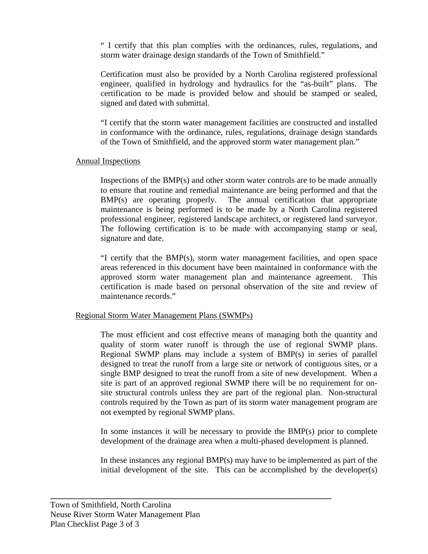" I certify that this plan complies with the ordinances, rules, regulations, and storm water drainage design standards of the Town of Smithfield."

Certification must also be provided by a North Carolina registered professional engineer, qualified in hydrology and hydraulics for the "as-built" plans. The certification to be made is provided below and should be stamped or sealed, signed and dated with submittal.

"I certify that the storm water management facilities are constructed and installed in conformance with the ordinance, rules, regulations, drainage design standards of the Town of Smithfield, and the approved storm water management plan."

### Annual Inspections

Inspections of the BMP(s) and other storm water controls are to be made annually to ensure that routine and remedial maintenance are being performed and that the BMP(s) are operating properly. The annual certification that appropriate maintenance is being performed is to be made by a North Carolina registered professional engineer, registered landscape architect, or registered land surveyor. The following certification is to be made with accompanying stamp or seal, signature and date.

"I certify that the BMP(s), storm water management facilities, and open space areas referenced in this document have been maintained in conformance with the approved storm water management plan and maintenance agreement. This certification is made based on personal observation of the site and review of maintenance records."

## Regional Storm Water Management Plans (SWMPs)

The most efficient and cost effective means of managing both the quantity and quality of storm water runoff is through the use of regional SWMP plans. Regional SWMP plans may include a system of BMP(s) in series of parallel designed to treat the runoff from a large site or network of contiguous sites, or a single BMP designed to treat the runoff from a site of new development. When a site is part of an approved regional SWMP there will be no requirement for onsite structural controls unless they are part of the regional plan. Non-structural controls required by the Town as part of its storm water management program are not exempted by regional SWMP plans.

In some instances it will be necessary to provide the BMP(s) prior to complete development of the drainage area when a multi-phased development is planned.

In these instances any regional BMP(s) may have to be implemented as part of the initial development of the site. This can be accomplished by the developer(s)